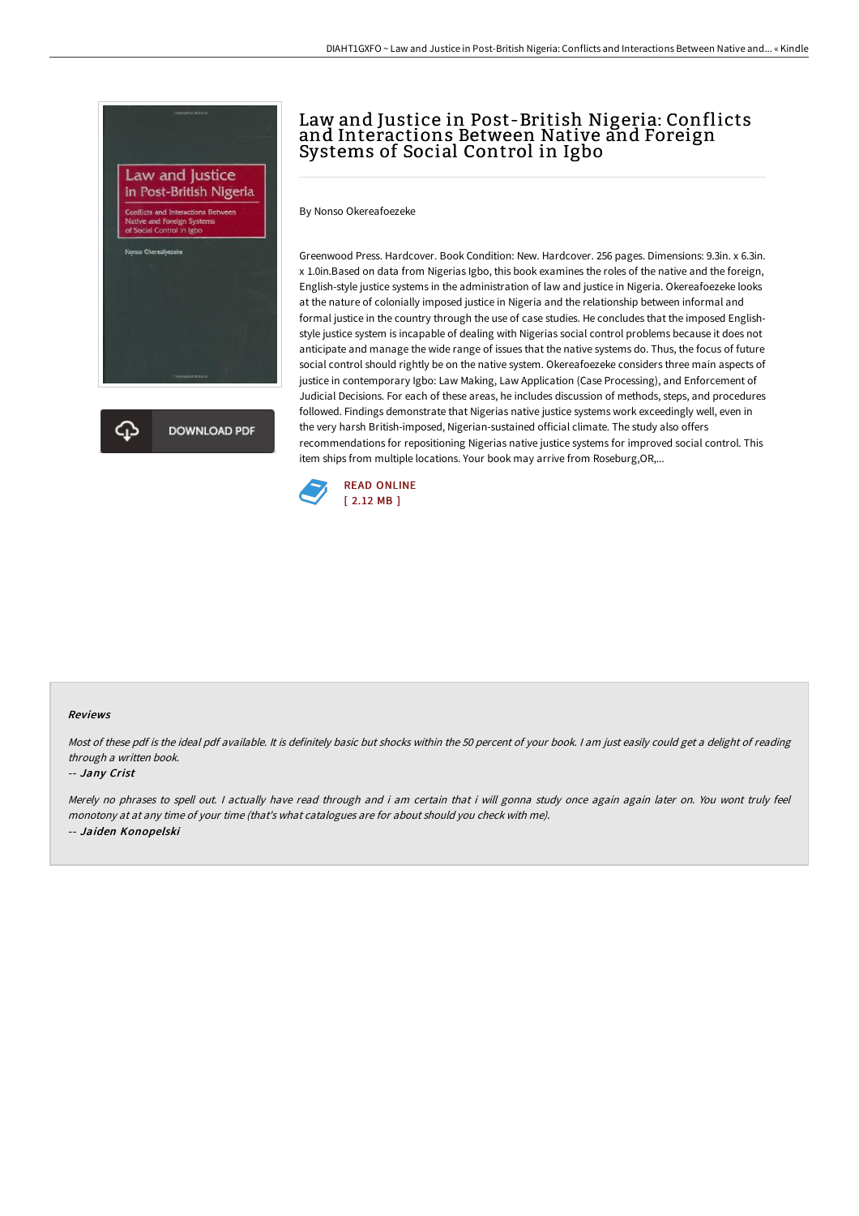

# Law and Justice in Post-British Nigeria: Conflicts and Interactions Between Native and Foreign Systems of Social Control in Igbo

By Nonso Okereafoezeke

Greenwood Press. Hardcover. Book Condition: New. Hardcover. 256 pages. Dimensions: 9.3in. x 6.3in. x 1.0in.Based on data from Nigerias Igbo, this book examines the roles of the native and the foreign, English-style justice systems in the administration of law and justice in Nigeria. Okereafoezeke looks at the nature of colonially imposed justice in Nigeria and the relationship between informal and formal justice in the country through the use of case studies. He concludes that the imposed Englishstyle justice system is incapable of dealing with Nigerias social control problems because it does not anticipate and manage the wide range of issues that the native systems do. Thus, the focus of future social control should rightly be on the native system. Okereafoezeke considers three main aspects of justice in contemporary Igbo: Law Making, Law Application (Case Processing), and Enforcement of Judicial Decisions. For each of these areas, he includes discussion of methods, steps, and procedures followed. Findings demonstrate that Nigerias native justice systems work exceedingly well, even in the very harsh British-imposed, Nigerian-sustained official climate. The study also offers recommendations for repositioning Nigerias native justice systems for improved social control. This item ships from multiple locations. Your book may arrive from Roseburg,OR,...



### Reviews

Most of these pdf is the ideal pdf available. It is definitely basic but shocks within the <sup>50</sup> percent of your book. <sup>I</sup> am just easily could get <sup>a</sup> delight of reading through <sup>a</sup> written book.

#### -- Jany Crist

Merely no phrases to spell out. <sup>I</sup> actually have read through and i am certain that i will gonna study once again again later on. You wont truly feel monotony at at any time of your time (that's what catalogues are for about should you check with me). -- Jaiden Konopelski